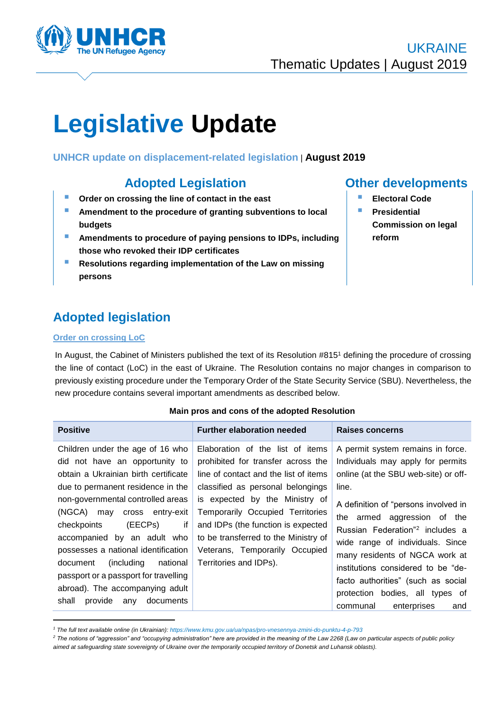

# **Legislative Update**

### **UNHCR update on displacement-related legislation** | **August 2019**

## **Adopted Legislation Other developments**

- **Order on crossing the line of contact in the east**
- **Amendment to the procedure of granting subventions to local budgets**
- **Amendments to procedure of paying pensions to IDPs, including those who revoked their IDP certificates**
- **Resolutions regarding implementation of the Law on missing persons**

# **Adopted legislation**

#### **Order on crossing LoC**

-

In August, the Cabinet of Ministers published the text of its Resolution #815<sup>1</sup> defining the procedure of crossing the line of contact (LoC) in the east of Ukraine. The Resolution contains no major changes in comparison to previously existing procedure under the Temporary Order of the State Security Service (SBU). Nevertheless, the new procedure contains several important amendments as described below.

#### **Main pros and cons of the adopted Resolution**

| <b>Positive</b>                                                                                                                                                                                                                                                                                                                                                                                                                                                                     | <b>Further elaboration needed</b>                                                                                                                                                                                                                                                                                                                                    | Raises concerns                                                                                                                                                                                                                                                                                                                                                                                                                                                      |
|-------------------------------------------------------------------------------------------------------------------------------------------------------------------------------------------------------------------------------------------------------------------------------------------------------------------------------------------------------------------------------------------------------------------------------------------------------------------------------------|----------------------------------------------------------------------------------------------------------------------------------------------------------------------------------------------------------------------------------------------------------------------------------------------------------------------------------------------------------------------|----------------------------------------------------------------------------------------------------------------------------------------------------------------------------------------------------------------------------------------------------------------------------------------------------------------------------------------------------------------------------------------------------------------------------------------------------------------------|
| Children under the age of 16 who<br>did not have an opportunity to<br>obtain a Ukrainian birth certificate<br>due to permanent residence in the<br>non-governmental controlled areas<br>(NGCA) may cross entry-exit<br>(EECPs)<br>if<br>checkpoints<br>accompanied by an adult who<br>possesses a national identification<br>national<br>(including<br>document<br>passport or a passport for travelling<br>abroad). The accompanying adult<br>shall<br>provide<br>documents<br>any | Elaboration of the list of items<br>prohibited for transfer across the<br>line of contact and the list of items<br>classified as personal belongings<br>is expected by the Ministry of<br>Temporarily Occupied Territories<br>and IDPs (the function is expected<br>to be transferred to the Ministry of<br>Veterans, Temporarily Occupied<br>Territories and IDPs). | A permit system remains in force.<br>Individuals may apply for permits<br>online (at the SBU web-site) or off-<br>line.<br>A definition of "persons involved in<br>the armed aggression of the<br>Russian Federation" <sup>2</sup> includes a<br>wide range of individuals. Since<br>many residents of NGCA work at<br>institutions considered to be "de-<br>facto authorities" (such as social<br>protection bodies, all types of<br>enterprises<br>communal<br>and |

*<sup>1</sup> The full text available online (in Ukrainian)[: https://www.kmu.gov.ua/ua/npas/pro-vnesennya-zmini-do-punktu-4-p-793](https://www.kmu.gov.ua/ua/npas/pro-vnesennya-zmini-do-punktu-4-p-793)*

- **Electoral Code**
- **Presidential Commission on legal reform**

*<sup>2</sup> The notions of "aggression" and "occupying administration" here are provided in the meaning of the Law 2268 (Law on particular aspects of public policy aimed at safeguarding state sovereignty of Ukraine over the temporarily occupied territory of Donetsk and Luhansk oblasts).*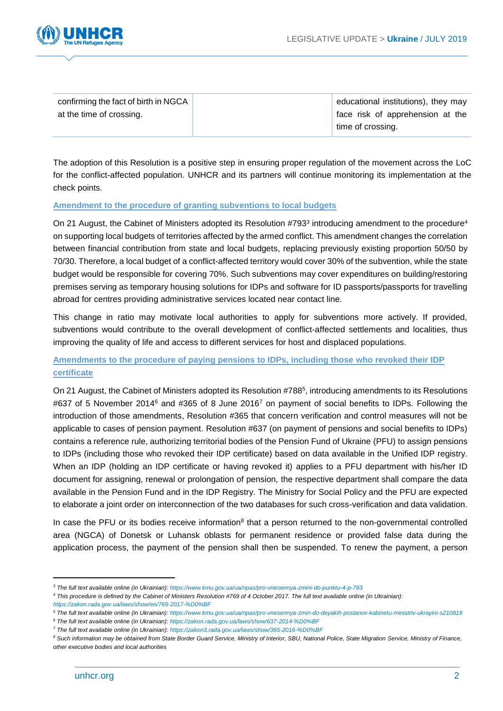

| confirming the fact of birth in NGCA | educational institutions), they may |
|--------------------------------------|-------------------------------------|
| at the time of crossing.             | face risk of apprehension at the    |
|                                      | time of crossing.                   |

The adoption of this Resolution is a positive step in ensuring proper regulation of the movement across the LoC for the conflict-affected population. UNHCR and its partners will continue monitoring its implementation at the check points.

#### **Amendment to the procedure of granting subventions to local budgets**

On 21 August, the Cabinet of Ministers adopted its Resolution #793<sup>3</sup> introducing amendment to the procedure<sup>4</sup> on supporting local budgets of territories affected by the armed conflict. This amendment changes the correlation between financial contribution from state and local budgets, replacing previously existing proportion 50/50 by 70/30. Therefore, a local budget of a conflict-affected territory would cover 30% of the subvention, while the state budget would be responsible for covering 70%. Such subventions may cover expenditures on building/restoring premises serving as temporary housing solutions for IDPs and software for ID passports/passports for travelling abroad for centres providing administrative services located near contact line.

This change in ratio may motivate local authorities to apply for subventions more actively. If provided, subventions would contribute to the overall development of conflict-affected settlements and localities, thus improving the quality of life and access to different services for host and displaced populations.

#### **Amendments to the procedure of paying pensions to IDPs, including those who revoked their IDP certificate**

On 21 August, the Cabinet of Ministers adopted its Resolution #788<sup>5</sup>, introducing amendments to its Resolutions #637 of 5 November 2014<sup>6</sup> and #365 of 8 June 2016<sup>7</sup> on payment of social benefits to IDPs. Following the introduction of those amendments, Resolution #365 that concern verification and control measures will not be applicable to cases of pension payment. Resolution #637 (on payment of pensions and social benefits to IDPs) contains a reference rule, authorizing territorial bodies of the Pension Fund of Ukraine (PFU) to assign pensions to IDPs (including those who revoked their IDP certificate) based on data available in the Unified IDP registry. When an IDP (holding an IDP certificate or having revoked it) applies to a PFU department with his/her ID document for assigning, renewal or prolongation of pension, the respective department shall compare the data available in the Pension Fund and in the IDP Registry. The Ministry for Social Policy and the PFU are expected to elaborate a joint order on interconnection of the two databases for such cross-verification and data validation.

In case the PFU or its bodies receive information<sup>8</sup> that a person returned to the non-governmental controlled area (NGCA) of Donetsk or Luhansk oblasts for permanent residence or provided false data during the application process, the payment of the pension shall then be suspended. To renew the payment, a person

-

*<sup>3</sup> The full text available online (in Ukrainian)[: https://www.kmu.gov.ua/ua/npas/pro-vnesennya-zmini-do-punktu-4-p-793](https://www.kmu.gov.ua/ua/npas/pro-vnesennya-zmini-do-punktu-4-p-793)*

*<sup>4</sup> This procedure is defined by the Cabinet of Ministers Resolution #769 of 4 October 2017. The full text available online (in Ukrainian): <https://zakon.rada.gov.ua/laws/show/en/769-2017-%D0%BF>*

*<sup>5</sup> The full text available online (in Ukrainian)[: https://www.kmu.gov.ua/ua/npas/pro-vnesennya-zmin-do-deyakih-postanov-kabinetu-ministriv-ukrayini-s210819](https://www.kmu.gov.ua/ua/npas/pro-vnesennya-zmin-do-deyakih-postanov-kabinetu-ministriv-ukrayini-s210819)*

*<sup>6</sup> The full text available online (in Ukrainian): <https://zakon.rada.gov.ua/laws/show/637-2014-%D0%BF>*

*<sup>7</sup> The full text available online (in Ukrainian): <https://zakon3.rada.gov.ua/laws/show/365-2016-%D0%BF>*

*<sup>8</sup> Such information may be obtained from State Border Guard Service, Ministry of Interior, SBU, National Police, State Migration Service, Ministry of Finance, other executive bodies and local authorities*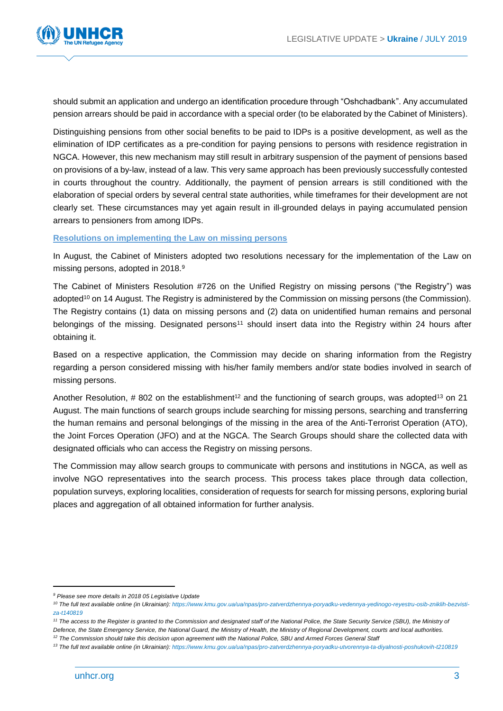

should submit an application and undergo an identification procedure through "Oshchadbank". Any accumulated pension arrears should be paid in accordance with a special order (to be elaborated by the Cabinet of Ministers).

Distinguishing pensions from other social benefits to be paid to IDPs is a positive development, as well as the elimination of IDP certificates as a pre-condition for paying pensions to persons with residence registration in NGCA. However, this new mechanism may still result in arbitrary suspension of the payment of pensions based on provisions of a by-law, instead of a law. This very same approach has been previously successfully contested in courts throughout the country. Additionally, the payment of pension arrears is still conditioned with the elaboration of special orders by several central state authorities, while timeframes for their development are not clearly set. These circumstances may yet again result in ill-grounded delays in paying accumulated pension arrears to pensioners from among IDPs.

#### **Resolutions on implementing the Law on missing persons**

In August, the Cabinet of Ministers adopted two resolutions necessary for the implementation of the Law on missing persons, adopted in 2018.<sup>9</sup>

The Cabinet of Ministers Resolution #726 on the Unified Registry on missing persons ("the Registry") was adopted<sup>10</sup> on 14 August. The Registry is administered by the Commission on missing persons (the Commission). The Registry contains (1) data on missing persons and (2) data on unidentified human remains and personal belongings of the missing. Designated persons<sup>11</sup> should insert data into the Registry within 24 hours after obtaining it.

Based on a respective application, the Commission may decide on sharing information from the Registry regarding a person considered missing with his/her family members and/or state bodies involved in search of missing persons.

Another Resolution,  $\#$  802 on the establishment<sup>12</sup> and the functioning of search groups, was adopted<sup>13</sup> on 21 August. The main functions of search groups include searching for missing persons, searching and transferring the human remains and personal belongings of the missing in the area of the Anti-Terrorist Operation (ATO), the Joint Forces Operation (JFO) and at the NGCA. The Search Groups should share the collected data with designated officials who can access the Registry on missing persons.

The Commission may allow search groups to communicate with persons and institutions in NGCA, as well as involve NGO representatives into the search process. This process takes place through data collection, population surveys, exploring localities, consideration of requests for search for missing persons, exploring burial places and aggregation of all obtained information for further analysis.

1

*<sup>9</sup> Please see more details in 2018 05 Legislative Update* 

*<sup>10</sup> The full text available online (in Ukrainian): [https://www.kmu.gov.ua/ua/npas/pro-zatverdzhennya-poryadku-vedennya-yedinogo-reyestru-osib-zniklih-bezvisti](https://www.kmu.gov.ua/ua/npas/pro-zatverdzhennya-poryadku-vedennya-yedinogo-reyestru-osib-zniklih-bezvisti-za-t140819)[za-t140819](https://www.kmu.gov.ua/ua/npas/pro-zatverdzhennya-poryadku-vedennya-yedinogo-reyestru-osib-zniklih-bezvisti-za-t140819)*

*<sup>11</sup> The access to the Register is granted to the Commission and designated staff of the National Police, the State Security Service (SBU), the Ministry of Defence, the State Emergency Service, the National Guard, the Ministry of Health, the Ministry of Regional Development, courts and local authorities.*

*<sup>12</sup> The Commission should take this decision upon agreement with the National Police, SBU and Armed Forces General Staff*

*<sup>13</sup> The full text available online (in Ukrainian): <https://www.kmu.gov.ua/ua/npas/pro-zatverdzhennya-poryadku-utvorennya-ta-diyalnosti-poshukovih-t210819>*